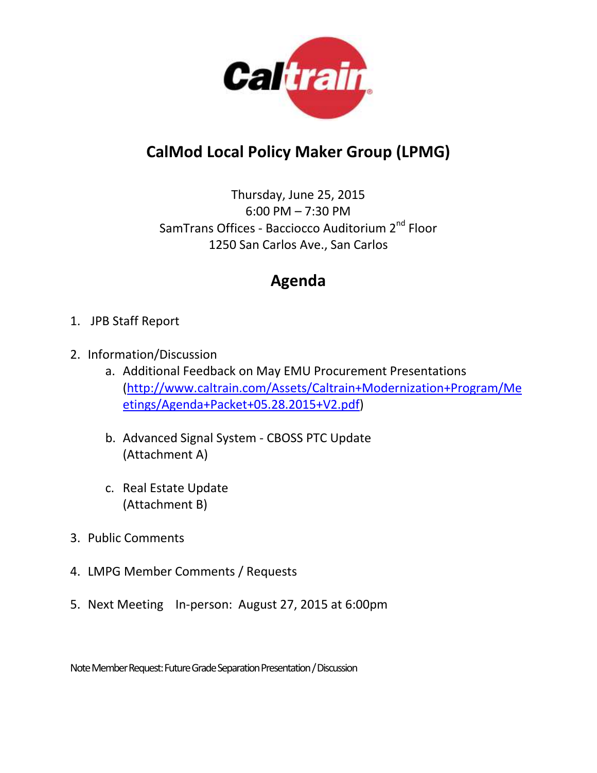

# **CalMod Local Policy Maker Group (LPMG)**

Thursday, June 25, 2015 6:00 PM – 7:30 PM SamTrans Offices - Bacciocco Auditorium 2<sup>nd</sup> Floor 1250 San Carlos Ave., San Carlos

# **Agenda**

- 1. JPB Staff Report
- 2. Information/Discussion
	- a. Additional Feedback on May EMU Procurement Presentations [\(http://www.caltrain.com/Assets/Caltrain+Modernization+Program/Me](http://www.caltrain.com/Assets/Caltrain+Modernization+Program/Meetings/Agenda+Packet+05.28.2015+V2.pdf) [etings/Agenda+Packet+05.28.2015+V2.pdf\)](http://www.caltrain.com/Assets/Caltrain+Modernization+Program/Meetings/Agenda+Packet+05.28.2015+V2.pdf)
	- b. Advanced Signal System CBOSS PTC Update (Attachment A)
	- c. Real Estate Update (Attachment B)
- 3. Public Comments
- 4. LMPG Member Comments / Requests
- 5. Next Meeting In-person: August 27, 2015 at 6:00pm

Note Member Request:Future Grade Separation Presentation/ Discussion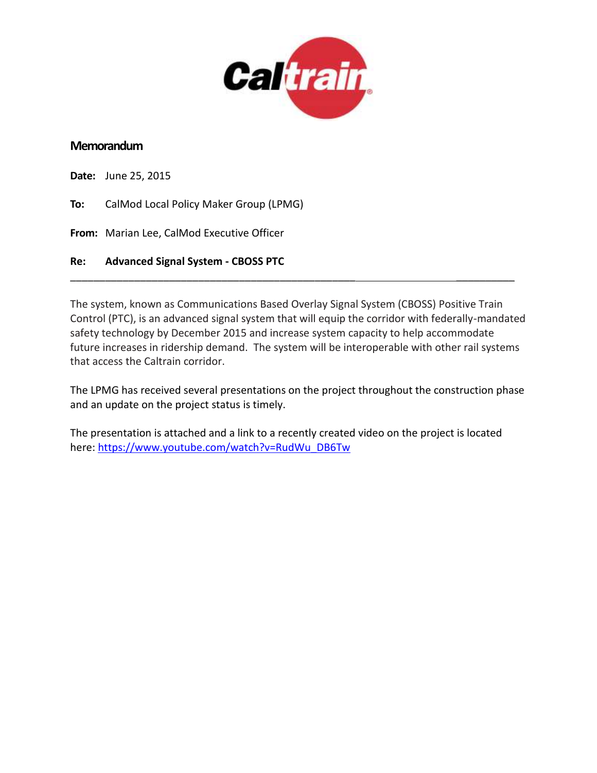

#### **Memorandum**

**Date:** June 25, 2015

**To:** CalMod Local Policy Maker Group (LPMG)

**From:** Marian Lee, CalMod Executive Officer

**Re: Advanced Signal System - CBOSS PTC** 

The system, known as Communications Based Overlay Signal System (CBOSS) Positive Train Control (PTC), is an advanced signal system that will equip the corridor with federally-mandated safety technology by December 2015 and increase system capacity to help accommodate future increases in ridership demand. The system will be interoperable with other rail systems that access the Caltrain corridor.

\_\_\_\_\_\_\_\_\_\_\_\_\_\_\_\_\_\_\_\_\_\_\_\_\_\_\_\_\_\_\_\_\_\_\_\_\_\_\_\_\_\_\_\_\_\_\_\_\_ \_\_\_\_\_\_\_\_\_\_

The LPMG has received several presentations on the project throughout the construction phase and an update on the project status is timely.

The presentation is attached and a link to a recently created video on the project is located here: [https://www.youtube.com/watch?v=RudWu\\_DB6Tw](https://www.youtube.com/watch?v=RudWu_DB6Tw)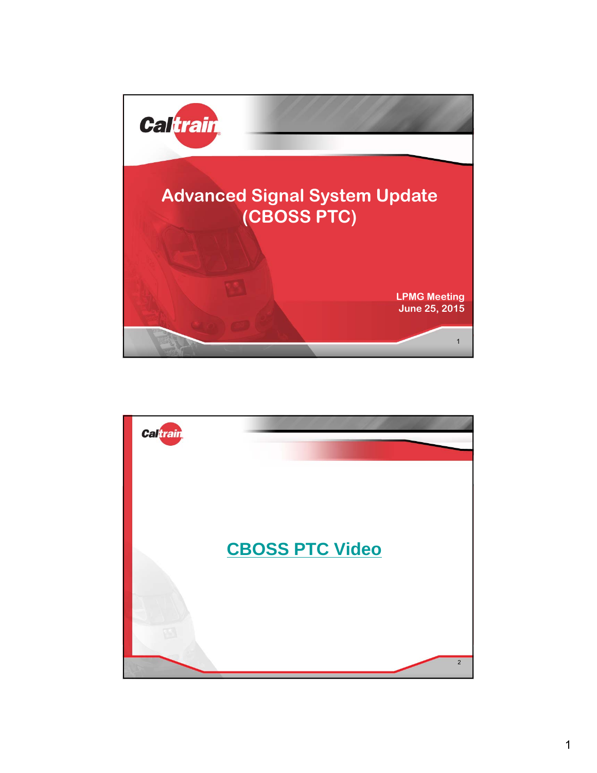

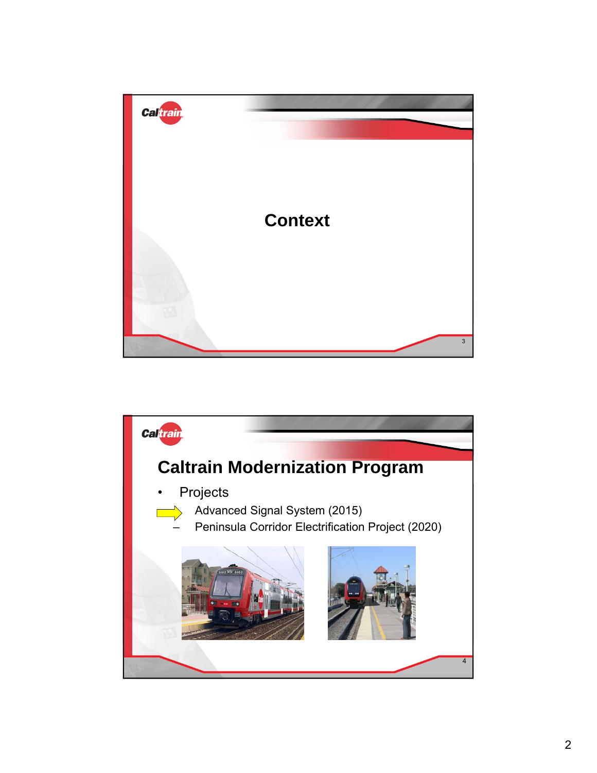

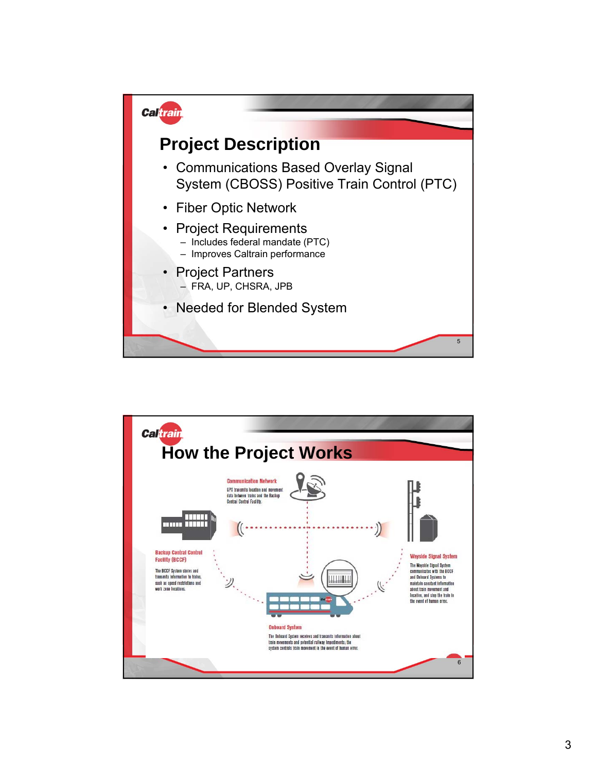

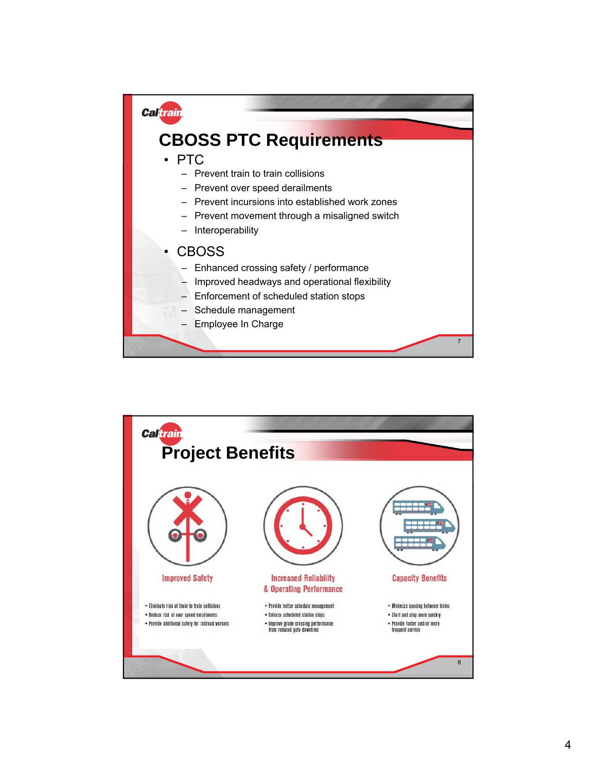

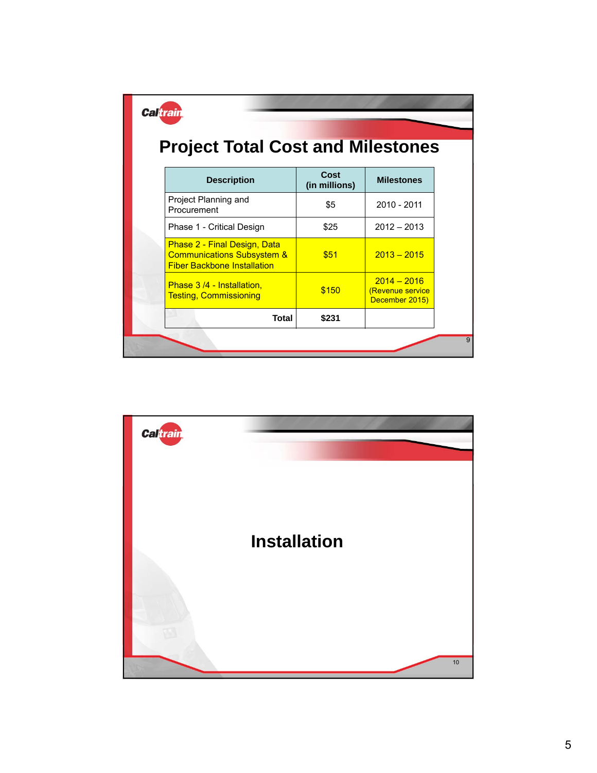| <b>Caltrain</b><br><b>Project Total Cost and Milestones</b>                                                        |                       |                                                     |  |
|--------------------------------------------------------------------------------------------------------------------|-----------------------|-----------------------------------------------------|--|
| <b>Description</b>                                                                                                 | Cost<br>(in millions) | <b>Milestones</b>                                   |  |
| Project Planning and<br>Procurement                                                                                | \$5                   | 2010 - 2011                                         |  |
| Phase 1 - Critical Design                                                                                          | \$25                  | $2012 - 2013$                                       |  |
| <b>Phase 2 - Final Design, Data</b><br><b>Communications Subsystem &amp;</b><br><b>Fiber Backbone Installation</b> | \$51                  | $2013 - 2015$                                       |  |
| Phase 3/4 - Installation,<br><b>Testing, Commissioning</b>                                                         | \$150                 | $2014 - 2016$<br>(Revenue service<br>December 2015) |  |
| <b>Total</b>                                                                                                       | \$231                 |                                                     |  |

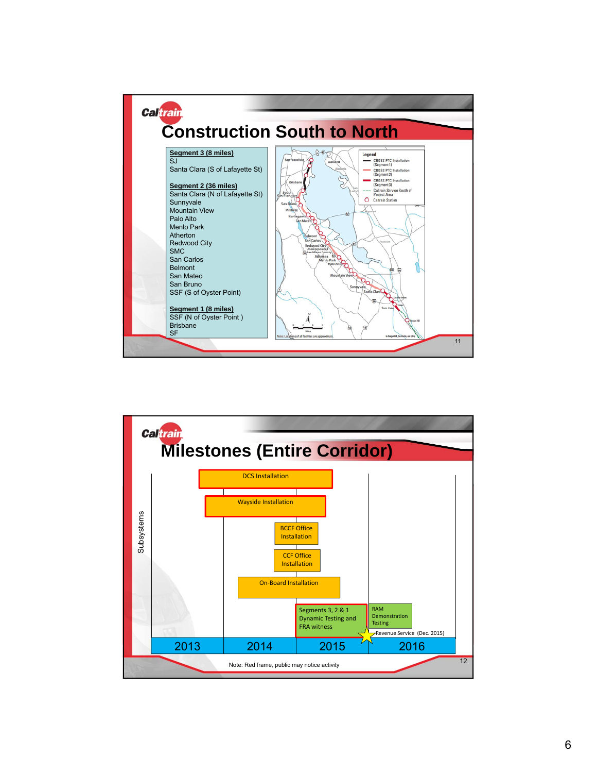

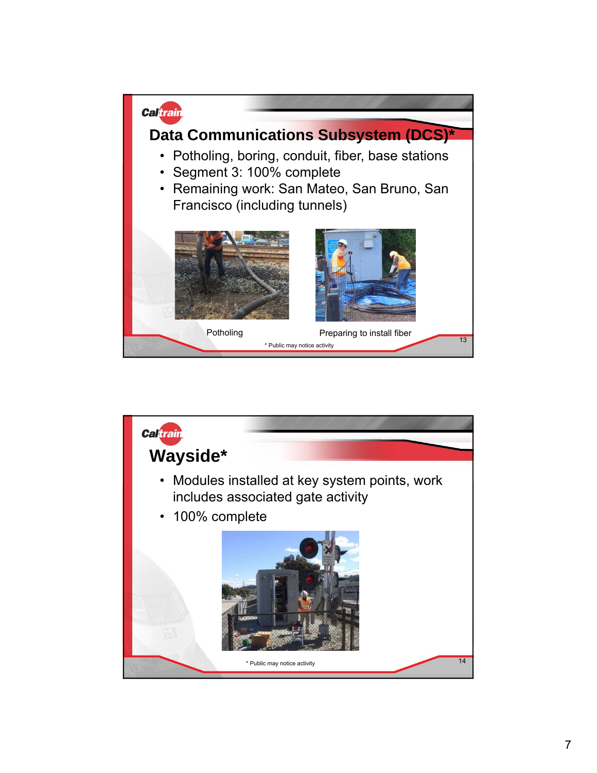

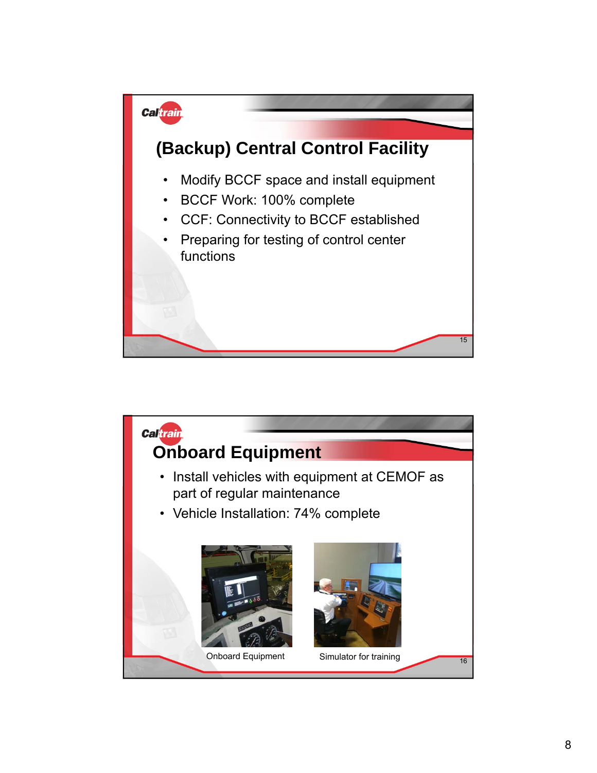

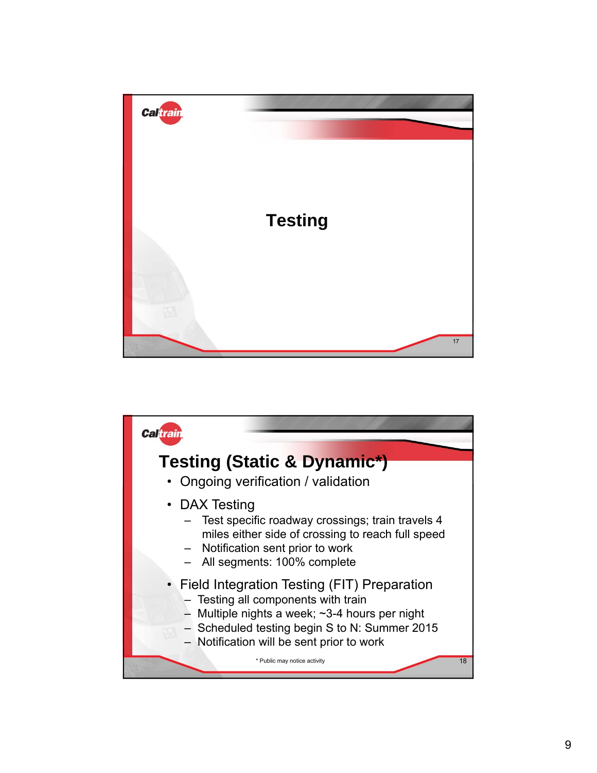

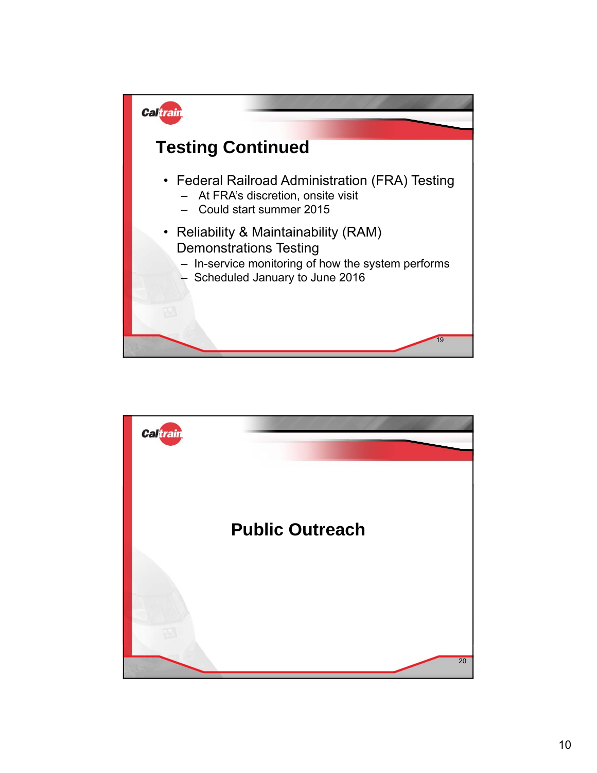

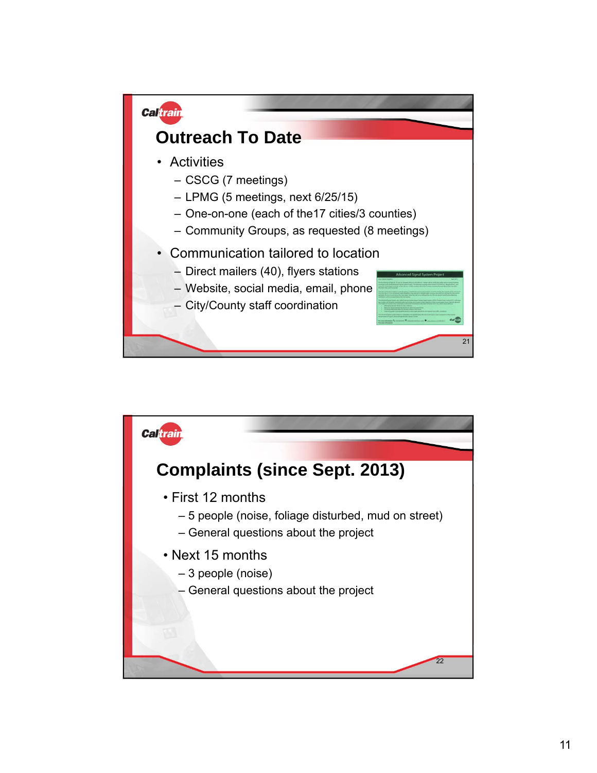

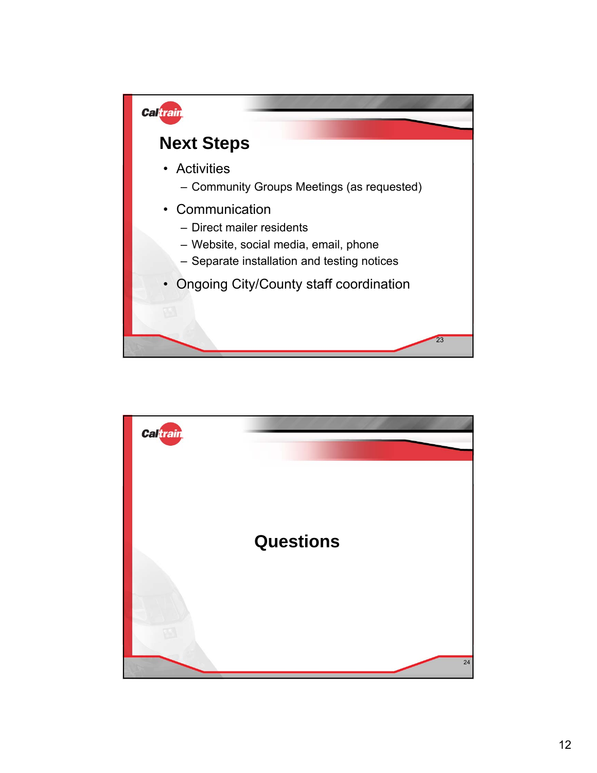

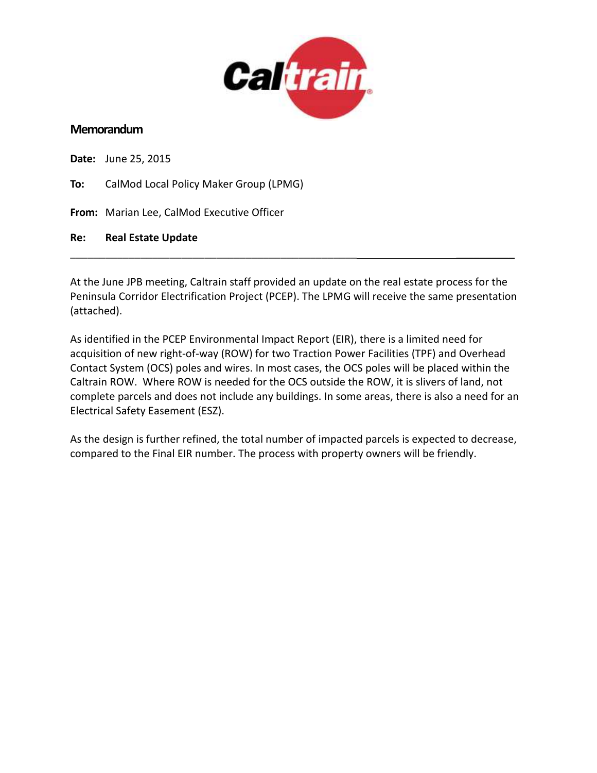

#### **Memorandum**

**Date:** June 25, 2015 **To:** CalMod Local Policy Maker Group (LPMG) **From:** Marian Lee, CalMod Executive Officer **Re: Real Estate Update** \_\_\_\_\_\_\_\_\_\_\_\_\_\_\_\_\_\_\_\_\_\_\_\_\_\_\_\_\_\_\_\_\_\_\_\_\_\_\_\_\_\_\_\_\_\_\_\_\_ \_\_\_\_\_\_\_\_\_\_

At the June JPB meeting, Caltrain staff provided an update on the real estate process for the Peninsula Corridor Electrification Project (PCEP). The LPMG will receive the same presentation (attached).

As identified in the PCEP Environmental Impact Report (EIR), there is a limited need for acquisition of new right-of-way (ROW) for two Traction Power Facilities (TPF) and Overhead Contact System (OCS) poles and wires. In most cases, the OCS poles will be placed within the Caltrain ROW. Where ROW is needed for the OCS outside the ROW, it is slivers of land, not complete parcels and does not include any buildings. In some areas, there is also a need for an Electrical Safety Easement (ESZ).

As the design is further refined, the total number of impacted parcels is expected to decrease, compared to the Final EIR number. The process with property owners will be friendly.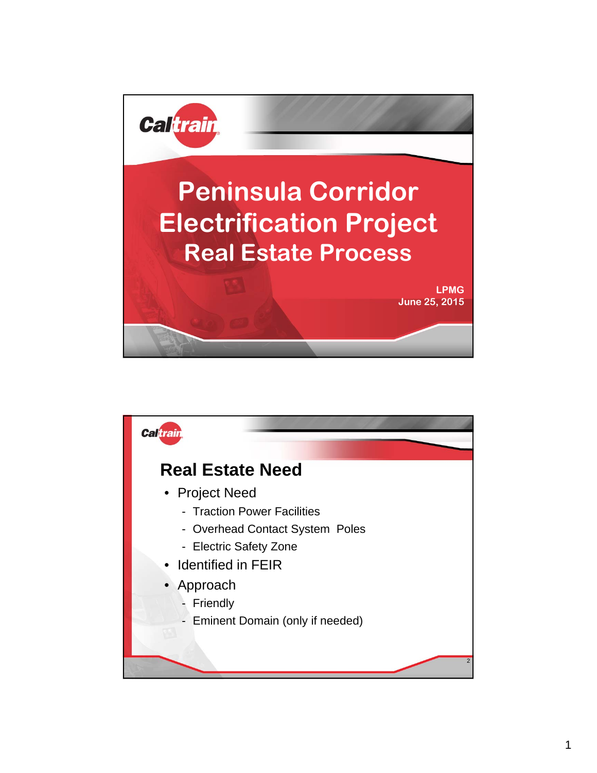

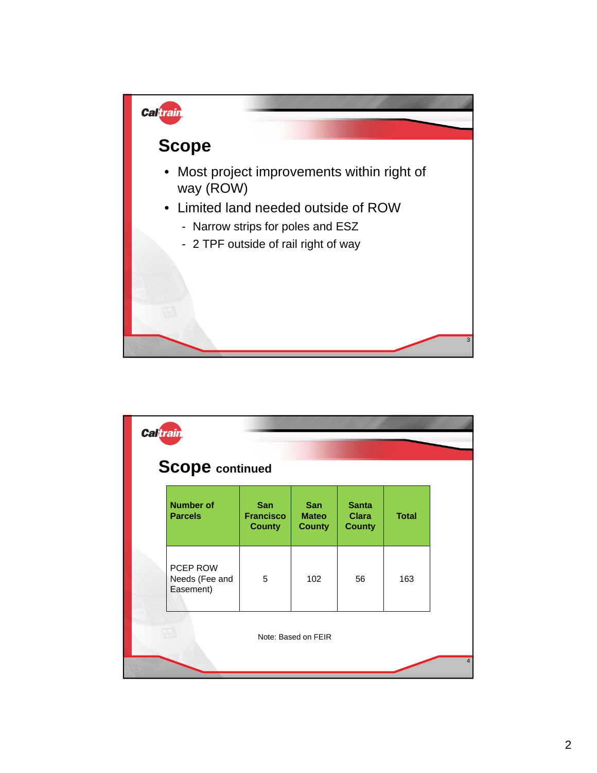

| <b>Caltrain</b> | <b>Scope</b> continued                  |                                                 |                                             |                                               |              |
|-----------------|-----------------------------------------|-------------------------------------------------|---------------------------------------------|-----------------------------------------------|--------------|
|                 | <b>Number of</b><br><b>Parcels</b>      | <b>San</b><br><b>Francisco</b><br><b>County</b> | <b>San</b><br><b>Mateo</b><br><b>County</b> | <b>Santa</b><br><b>Clara</b><br><b>County</b> | <b>Total</b> |
|                 | PCEP ROW<br>Needs (Fee and<br>Easement) | 5                                               | 102                                         | 56                                            | 163          |
|                 |                                         |                                                 | Note: Based on FEIR                         |                                               |              |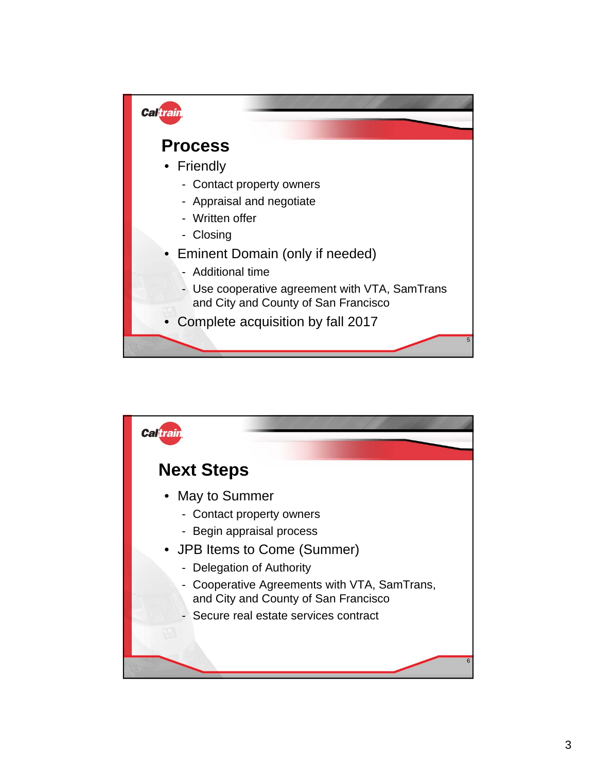

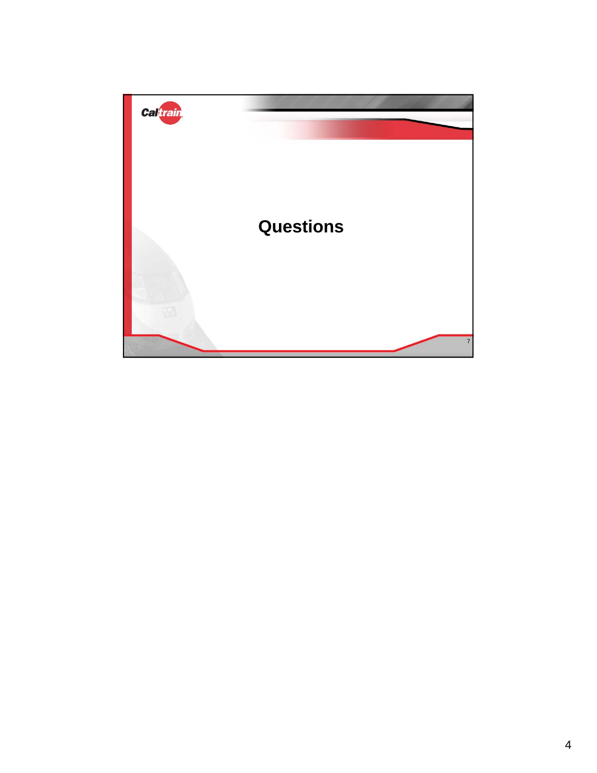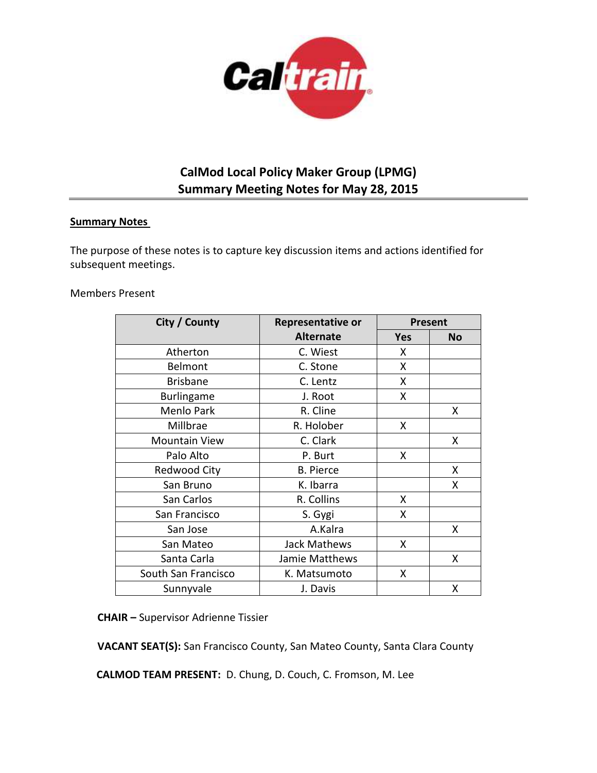

## **CalMod Local Policy Maker Group (LPMG) Summary Meeting Notes for May 28, 2015**

#### **Summary Notes**

The purpose of these notes is to capture key discussion items and actions identified for subsequent meetings.

#### Members Present

| City / County        | Representative or   | <b>Present</b> |           |
|----------------------|---------------------|----------------|-----------|
|                      | <b>Alternate</b>    | <b>Yes</b>     | <b>No</b> |
| Atherton             | C. Wiest            | X              |           |
| Belmont              | C. Stone            | X              |           |
| <b>Brisbane</b>      | C. Lentz            | X              |           |
| Burlingame           | J. Root             | X              |           |
| Menlo Park           | R. Cline            |                | X         |
| Millbrae             | R. Holober          | X              |           |
| <b>Mountain View</b> | C. Clark            |                | X         |
| Palo Alto            | P. Burt             | X              |           |
| <b>Redwood City</b>  | <b>B.</b> Pierce    |                | X         |
| San Bruno            | K. Ibarra           |                | X         |
| San Carlos           | R. Collins          | X              |           |
| San Francisco        | S. Gygi             | X              |           |
| San Jose             | A.Kalra             |                | X         |
| San Mateo            | <b>Jack Mathews</b> | X              |           |
| Santa Carla          | Jamie Matthews      |                | X         |
| South San Francisco  | K. Matsumoto        | X              |           |
| Sunnyvale            | J. Davis            |                | Χ         |

**CHAIR –** Supervisor Adrienne Tissier

**VACANT SEAT(S):** San Francisco County, San Mateo County, Santa Clara County

**CALMOD TEAM PRESENT:** D. Chung, D. Couch, C. Fromson, M. Lee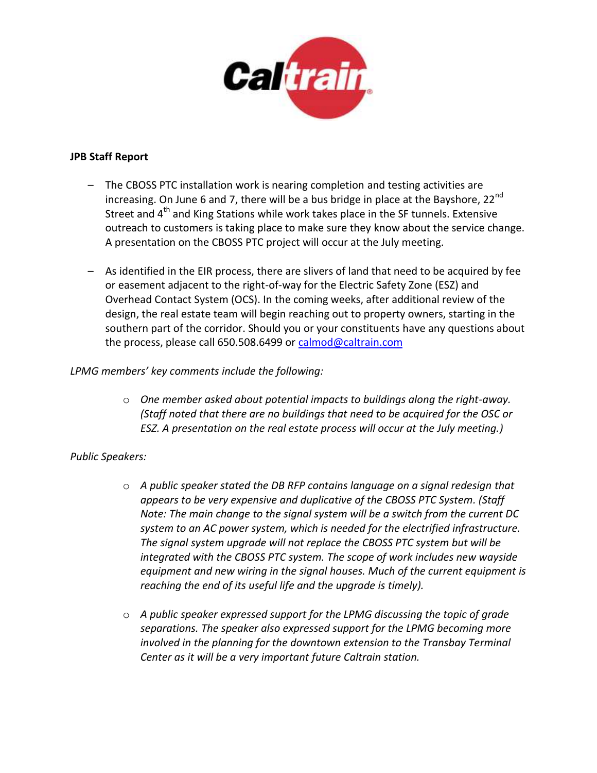

#### **JPB Staff Report**

- The CBOSS PTC installation work is nearing completion and testing activities are increasing. On June 6 and 7, there will be a bus bridge in place at the Bayshore,  $22^{nd}$ Street and 4<sup>th</sup> and King Stations while work takes place in the SF tunnels. Extensive outreach to customers is taking place to make sure they know about the service change. A presentation on the CBOSS PTC project will occur at the July meeting.
- As identified in the EIR process, there are slivers of land that need to be acquired by fee or easement adjacent to the right-of-way for the Electric Safety Zone (ESZ) and Overhead Contact System (OCS). In the coming weeks, after additional review of the design, the real estate team will begin reaching out to property owners, starting in the southern part of the corridor. Should you or your constituents have any questions about the process, please call 650.508.6499 or [calmod@caltrain.com](mailto:calmod@caltrain.com)

### *LPMG members' key comments include the following:*

o *One member asked about potential impacts to buildings along the right-away. (Staff noted that there are no buildings that need to be acquired for the OSC or ESZ. A presentation on the real estate process will occur at the July meeting.)*

### *Public Speakers:*

- o *A public speaker stated the DB RFP contains language on a signal redesign that appears to be very expensive and duplicative of the CBOSS PTC System. (Staff Note: The main change to the signal system will be a switch from the current DC system to an AC power system, which is needed for the electrified infrastructure. The signal system upgrade will not replace the CBOSS PTC system but will be integrated with the CBOSS PTC system. The scope of work includes new wayside equipment and new wiring in the signal houses. Much of the current equipment is reaching the end of its useful life and the upgrade is timely).*
- o *A public speaker expressed support for the LPMG discussing the topic of grade separations. The speaker also expressed support for the LPMG becoming more involved in the planning for the downtown extension to the Transbay Terminal Center as it will be a very important future Caltrain station.*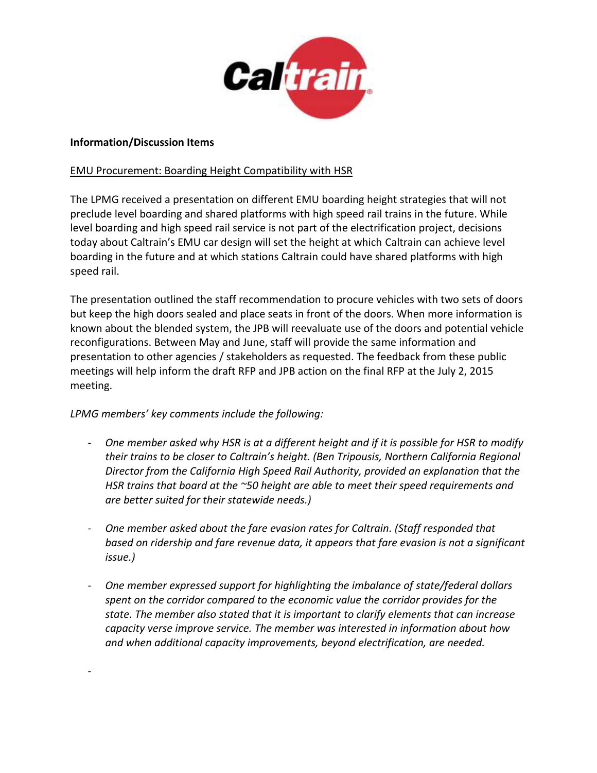

#### **Information/Discussion Items**

-

#### EMU Procurement: Boarding Height Compatibility with HSR

The LPMG received a presentation on different EMU boarding height strategies that will not preclude level boarding and shared platforms with high speed rail trains in the future. While level boarding and high speed rail service is not part of the electrification project, decisions today about Caltrain's EMU car design will set the height at which Caltrain can achieve level boarding in the future and at which stations Caltrain could have shared platforms with high speed rail.

The presentation outlined the staff recommendation to procure vehicles with two sets of doors but keep the high doors sealed and place seats in front of the doors. When more information is known about the blended system, the JPB will reevaluate use of the doors and potential vehicle reconfigurations. Between May and June, staff will provide the same information and presentation to other agencies / stakeholders as requested. The feedback from these public meetings will help inform the draft RFP and JPB action on the final RFP at the July 2, 2015 meeting.

### *LPMG members' key comments include the following:*

- *One member asked why HSR is at a different height and if it is possible for HSR to modify their trains to be closer to Caltrain's height. (Ben Tripousis, Northern California Regional Director from the California High Speed Rail Authority, provided an explanation that the HSR trains that board at the ~50 height are able to meet their speed requirements and are better suited for their statewide needs.)*
- *One member asked about the fare evasion rates for Caltrain. (Staff responded that based on ridership and fare revenue data, it appears that fare evasion is not a significant issue.)*
- *One member expressed support for highlighting the imbalance of state/federal dollars spent on the corridor compared to the economic value the corridor provides for the state. The member also stated that it is important to clarify elements that can increase capacity verse improve service. The member was interested in information about how and when additional capacity improvements, beyond electrification, are needed.*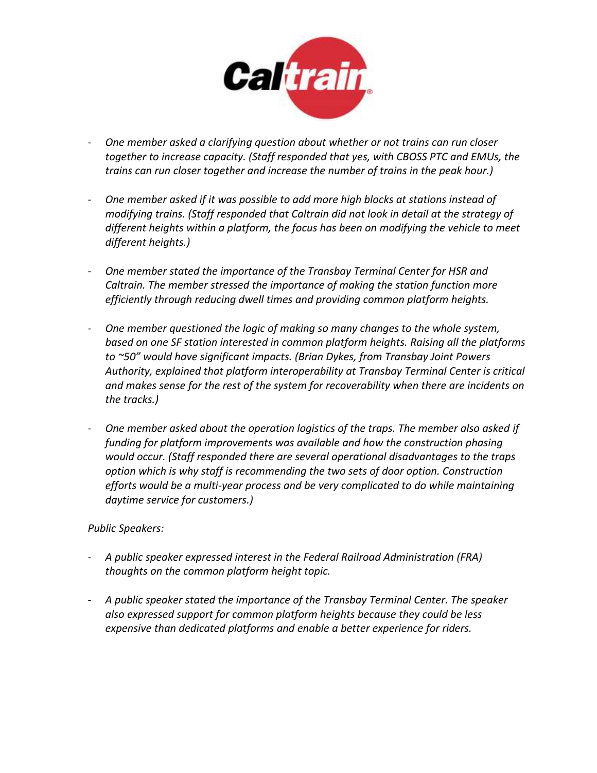

- *One member asked a clarifying question about whether or not trains can run closer together to increase capacity. (Staff responded that yes, with CBOSS PTC and EMUs, the trains can run closer together and increase the number of trains in the peak hour.)*
- *One member asked if it was possible to add more high blocks at stations instead of modifying trains. (Staff responded that Caltrain did not look in detail at the strategy of different heights within a platform, the focus has been on modifying the vehicle to meet different heights.)*
- *One member stated the importance of the Transbay Terminal Center for HSR and Caltrain. The member stressed the importance of making the station function more efficiently through reducing dwell times and providing common platform heights.*
- *One member questioned the logic of making so many changes to the whole system, based on one SF station interested in common platform heights. Raising all the platforms to ~50" would have significant impacts. (Brian Dykes, from Transbay Joint Powers Authority, explained that platform interoperability at Transbay Terminal Center is critical and makes sense for the rest of the system for recoverability when there are incidents on the tracks.)*
- *One member asked about the operation logistics of the traps. The member also asked if funding for platform improvements was available and how the construction phasing would occur. (Staff responded there are several operational disadvantages to the traps option which is why staff is recommending the two sets of door option. Construction efforts would be a multi-year process and be very complicated to do while maintaining daytime service for customers.)*

### *Public Speakers:*

- *A public speaker expressed interest in the Federal Railroad Administration (FRA) thoughts on the common platform height topic.*
- *A public speaker stated the importance of the Transbay Terminal Center. The speaker also expressed support for common platform heights because they could be less expensive than dedicated platforms and enable a better experience for riders.*